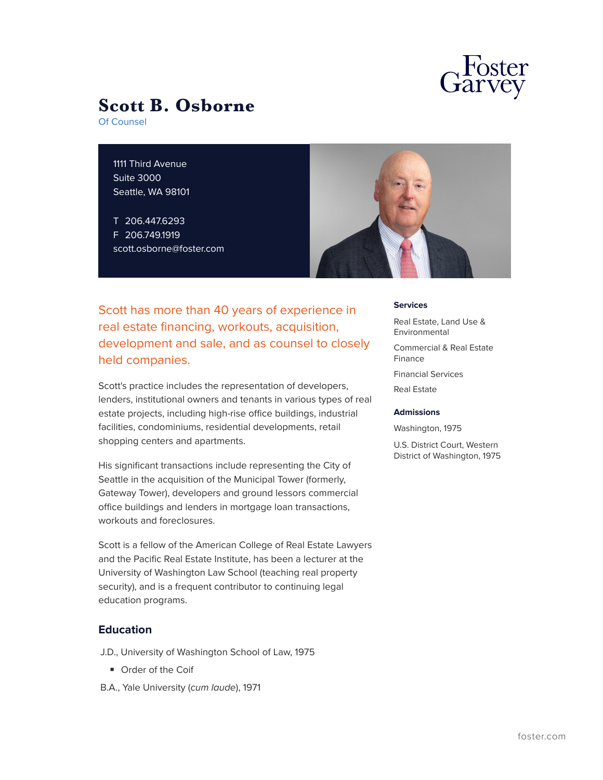

# **Scott B. Osborne**

Of Counsel

1111 Third Avenue Suite 3000 Seattle, WA 98101

T 206.447.6293 F 206.749.1919 scott.osborne@foster.com



Scott has more than 40 years of experience in real estate financing, workouts, acquisition, development and sale, and as counsel to closely held companies.

Scott's practice includes the representation of developers, lenders, institutional owners and tenants in various types of real estate projects, including high-rise office buildings, industrial facilities, condominiums, residential developments, retail shopping centers and apartments.

His significant transactions include representing the City of Seattle in the acquisition of the Municipal Tower (formerly, Gateway Tower), developers and ground lessors commercial office buildings and lenders in mortgage loan transactions, workouts and foreclosures.

Scott is a fellow of the American College of Real Estate Lawyers and the Pacific Real Estate Institute, has been a lecturer at the University of Washington Law School (teaching real property security), and is a frequent contributor to continuing legal education programs.

# **Education**

J.D., University of Washington School of Law, 1975

- Order of the Coif
- B.A., Yale University (*cum laude*), 1971

#### **Services**

Real Estate, Land Use & **Environmental** 

Commercial & Real Estate Finance

Financial Services

Real Estate

### **Admissions**

Washington, 1975

U.S. District Court, Western District of Washington, 1975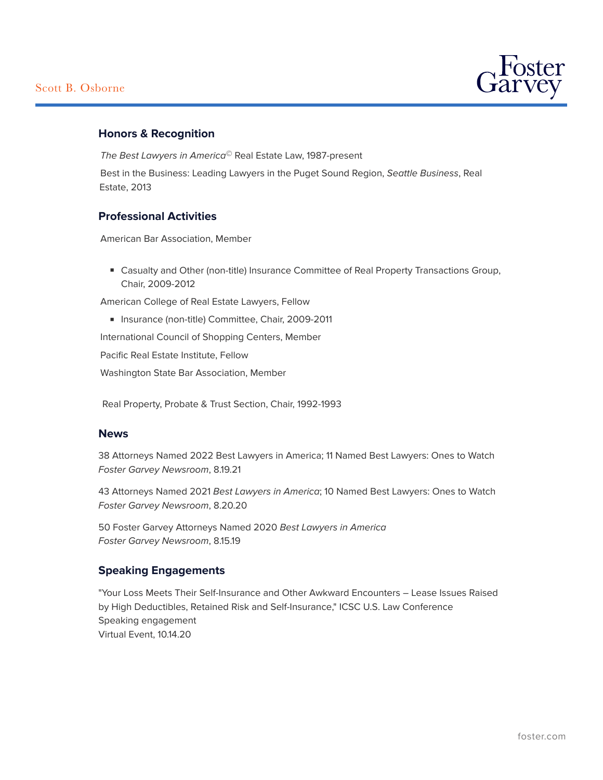

# **Honors & Recognition**

*The Best Lawyers in America©* Real Estate Law, 1987-present

Best in the Business: Leading Lawyers in the Puget Sound Region, *Seattle Business*, Real Estate, 2013

# **Professional Activities**

American Bar Association, Member

■ Casualty and Other (non-title) Insurance Committee of Real Property Transactions Group, Chair, 2009-2012

American College of Real Estate Lawyers, Fellow

■ Insurance (non-title) Committee, Chair, 2009-2011

International Council of Shopping Centers, Member

Pacific Real Estate Institute, Fellow

Washington State Bar Association, Member

Real Property, Probate & Trust Section, Chair, 1992-1993

# **News**

38 Attorneys Named 2022 Best Lawyers in America; 11 Named Best Lawyers: Ones to Watch *Foster Garvey Newsroom*, 8.19.21

43 Attorneys Named 2021 *Best Lawyers in America*; 10 Named Best Lawyers: Ones to Watch *Foster Garvey Newsroom*, 8.20.20

50 Foster Garvey Attorneys Named 2020 *Best Lawyers in America Foster Garvey Newsroom*, 8.15.19

# **Speaking Engagements**

"Your Loss Meets Their Self-Insurance and Other Awkward Encounters – Lease Issues Raised by High Deductibles, Retained Risk and Self-Insurance," ICSC U.S. Law Conference Speaking engagement Virtual Event, 10.14.20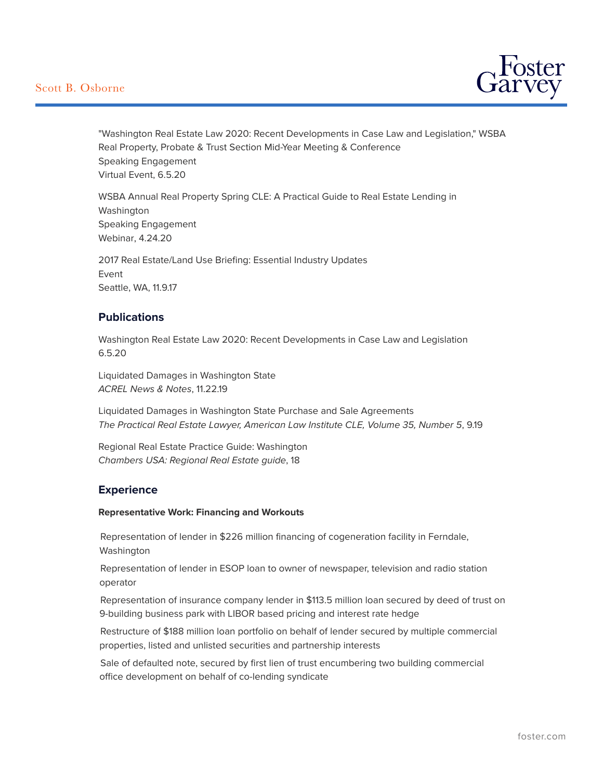

"Washington Real Estate Law 2020: Recent Developments in Case Law and Legislation," WSBA Real Property, Probate & Trust Section Mid-Year Meeting & Conference Speaking Engagement Virtual Event, 6.5.20

WSBA Annual Real Property Spring CLE: A Practical Guide to Real Estate Lending in Washington Speaking Engagement Webinar, 4.24.20

2017 Real Estate/Land Use Briefing: Essential Industry Updates Event Seattle, WA, 11.9.17

# **Publications**

Washington Real Estate Law 2020: Recent Developments in Case Law and Legislation 6.5.20

Liquidated Damages in Washington State *ACREL News & Notes*, 11.22.19

Liquidated Damages in Washington State Purchase and Sale Agreements *The Practical Real Estate Lawyer, American Law Institute CLE, Volume 35, Number 5*, 9.19

Regional Real Estate Practice Guide: Washington *Chambers USA: Regional Real Estate guide*, 18

# **Experience**

### **Representative Work: Financing and Workouts**

Representation of lender in \$226 million financing of cogeneration facility in Ferndale, Washington

Representation of lender in ESOP loan to owner of newspaper, television and radio station operator

Representation of insurance company lender in \$113.5 million loan secured by deed of trust on 9-building business park with LIBOR based pricing and interest rate hedge

Restructure of \$188 million loan portfolio on behalf of lender secured by multiple commercial properties, listed and unlisted securities and partnership interests

Sale of defaulted note, secured by first lien of trust encumbering two building commercial office development on behalf of co-lending syndicate